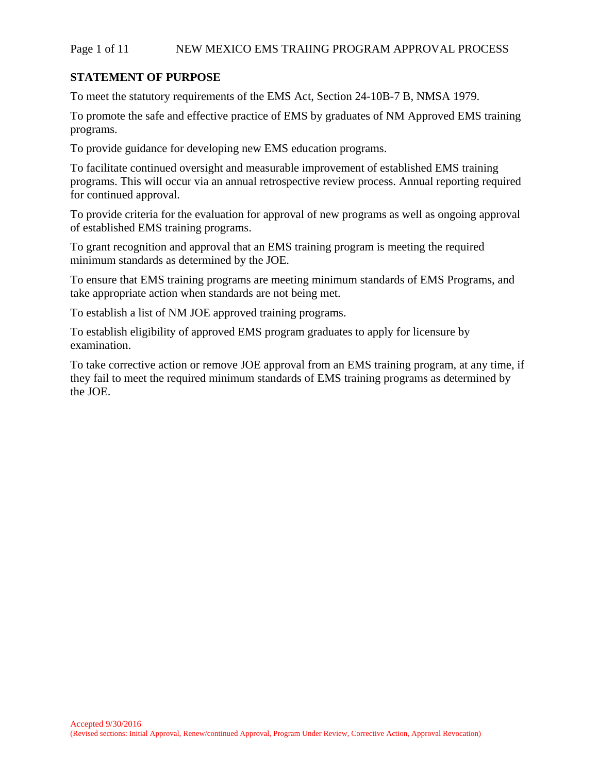### Page 1 of 11 NEW MEXICO EMS TRAIING PROGRAM APPROVAL PROCESS

## **STATEMENT OF PURPOSE**

To meet the statutory requirements of the EMS Act, Section 24-10B-7 B, NMSA 1979.

To promote the safe and effective practice of EMS by graduates of NM Approved EMS training programs.

To provide guidance for developing new EMS education programs.

To facilitate continued oversight and measurable improvement of established EMS training programs. This will occur via an annual retrospective review process. Annual reporting required for continued approval.

To provide criteria for the evaluation for approval of new programs as well as ongoing approval of established EMS training programs.

To grant recognition and approval that an EMS training program is meeting the required minimum standards as determined by the JOE.

To ensure that EMS training programs are meeting minimum standards of EMS Programs, and take appropriate action when standards are not being met.

To establish a list of NM JOE approved training programs.

To establish eligibility of approved EMS program graduates to apply for licensure by examination.

To take corrective action or remove JOE approval from an EMS training program, at any time, if they fail to meet the required minimum standards of EMS training programs as determined by the JOE.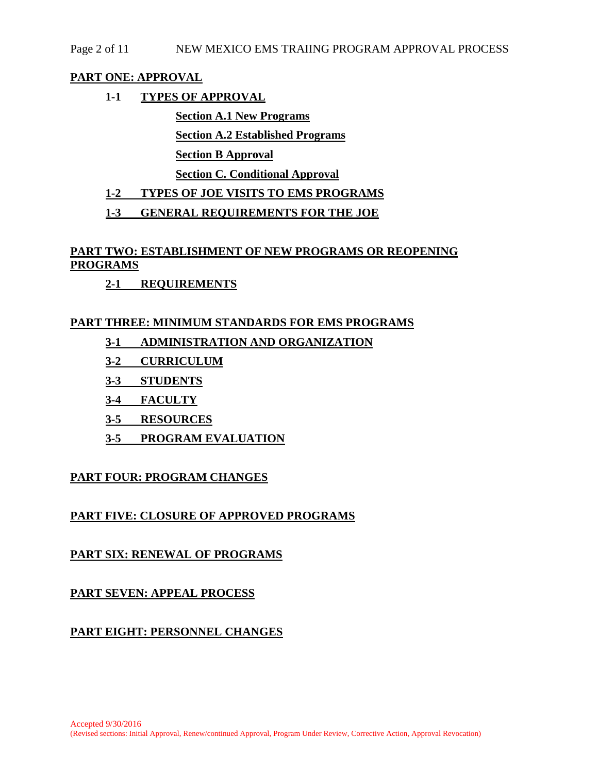## Page 2 of 11 NEW MEXICO EMS TRAIING PROGRAM APPROVAL PROCESS

## **PART ONE: APPROVAL**

**1-1 TYPES OF APPROVAL** 

**Section A.1 New Programs Section A.2 Established Programs Section B Approval** 

**Section C. Conditional Approval** 

## **1-2 TYPES OF JOE VISITS TO EMS PROGRAMS**

**1-3 GENERAL REQUIREMENTS FOR THE JOE** 

# **PART TWO: ESTABLISHMENT OF NEW PROGRAMS OR REOPENING PROGRAMS**

**2-1 REQUIREMENTS** 

## **PART THREE: MINIMUM STANDARDS FOR EMS PROGRAMS**

- **3-1 ADMINISTRATION AND ORGANIZATION**
- **3-2 CURRICULUM**
- **3-3 STUDENTS**
- **3-4 FACULTY**
- **3-5 RESOURCES**
- **3-5 PROGRAM EVALUATION**

## **PART FOUR: PROGRAM CHANGES**

## **PART FIVE: CLOSURE OF APPROVED PROGRAMS**

## **PART SIX: RENEWAL OF PROGRAMS**

## **PART SEVEN: APPEAL PROCESS**

## **PART EIGHT: PERSONNEL CHANGES**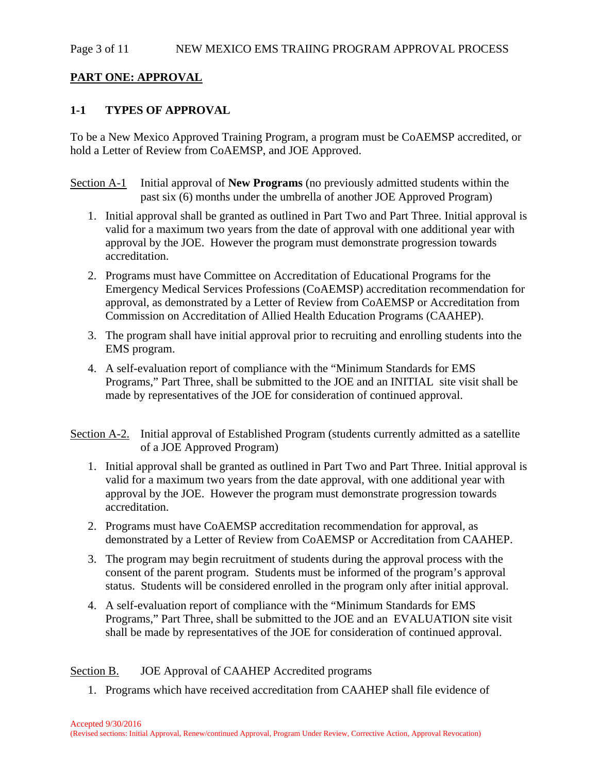#### Page 3 of 11 NEW MEXICO EMS TRAIING PROGRAM APPROVAL PROCESS

### **PART ONE: APPROVAL**

## **1-1 TYPES OF APPROVAL**

To be a New Mexico Approved Training Program, a program must be CoAEMSP accredited, or hold a Letter of Review from CoAEMSP, and JOE Approved.

Section A-1 Initial approval of **New Programs** (no previously admitted students within the past six (6) months under the umbrella of another JOE Approved Program)

- 1. Initial approval shall be granted as outlined in Part Two and Part Three. Initial approval is valid for a maximum two years from the date of approval with one additional year with approval by the JOE. However the program must demonstrate progression towards accreditation.
- 2. Programs must have Committee on Accreditation of Educational Programs for the Emergency Medical Services Professions (CoAEMSP) accreditation recommendation for approval, as demonstrated by a Letter of Review from CoAEMSP or Accreditation from Commission on Accreditation of Allied Health Education Programs (CAAHEP).
- 3. The program shall have initial approval prior to recruiting and enrolling students into the EMS program.
- 4. A self-evaluation report of compliance with the "Minimum Standards for EMS Programs," Part Three, shall be submitted to the JOE and an INITIAL site visit shall be made by representatives of the JOE for consideration of continued approval.
- Section A-2. Initial approval of Established Program (students currently admitted as a satellite of a JOE Approved Program)
	- 1. Initial approval shall be granted as outlined in Part Two and Part Three. Initial approval is valid for a maximum two years from the date approval, with one additional year with approval by the JOE. However the program must demonstrate progression towards accreditation.
	- 2. Programs must have CoAEMSP accreditation recommendation for approval, as demonstrated by a Letter of Review from CoAEMSP or Accreditation from CAAHEP.
	- 3. The program may begin recruitment of students during the approval process with the consent of the parent program. Students must be informed of the program's approval status. Students will be considered enrolled in the program only after initial approval.
	- 4. A self-evaluation report of compliance with the "Minimum Standards for EMS Programs," Part Three, shall be submitted to the JOE and an EVALUATION site visit shall be made by representatives of the JOE for consideration of continued approval.

### Section B. JOE Approval of CAAHEP Accredited programs

1. Programs which have received accreditation from CAAHEP shall file evidence of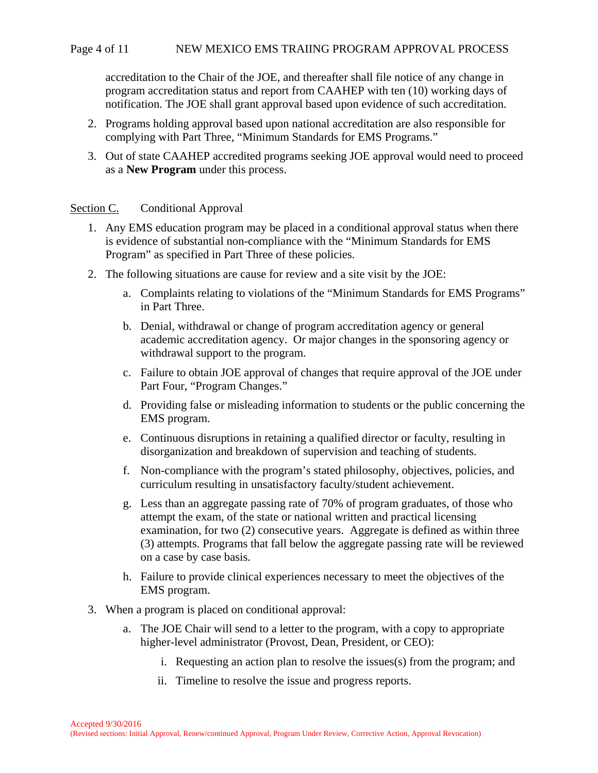accreditation to the Chair of the JOE, and thereafter shall file notice of any change in program accreditation status and report from CAAHEP with ten (10) working days of notification. The JOE shall grant approval based upon evidence of such accreditation.

- 2. Programs holding approval based upon national accreditation are also responsible for complying with Part Three, "Minimum Standards for EMS Programs."
- 3. Out of state CAAHEP accredited programs seeking JOE approval would need to proceed as a **New Program** under this process.

#### Section C. Conditional Approval

- 1. Any EMS education program may be placed in a conditional approval status when there is evidence of substantial non-compliance with the "Minimum Standards for EMS Program" as specified in Part Three of these policies.
- 2. The following situations are cause for review and a site visit by the JOE:
	- a. Complaints relating to violations of the "Minimum Standards for EMS Programs" in Part Three.
	- b. Denial, withdrawal or change of program accreditation agency or general academic accreditation agency. Or major changes in the sponsoring agency or withdrawal support to the program.
	- c. Failure to obtain JOE approval of changes that require approval of the JOE under Part Four, "Program Changes."
	- d. Providing false or misleading information to students or the public concerning the EMS program.
	- e. Continuous disruptions in retaining a qualified director or faculty, resulting in disorganization and breakdown of supervision and teaching of students.
	- f. Non-compliance with the program's stated philosophy, objectives, policies, and curriculum resulting in unsatisfactory faculty/student achievement.
	- g. Less than an aggregate passing rate of 70% of program graduates, of those who attempt the exam, of the state or national written and practical licensing examination, for two (2) consecutive years. Aggregate is defined as within three (3) attempts. Programs that fall below the aggregate passing rate will be reviewed on a case by case basis.
	- h. Failure to provide clinical experiences necessary to meet the objectives of the EMS program.
- 3. When a program is placed on conditional approval:
	- a. The JOE Chair will send to a letter to the program, with a copy to appropriate higher-level administrator (Provost, Dean, President, or CEO):
		- i. Requesting an action plan to resolve the issues(s) from the program; and
		- ii. Timeline to resolve the issue and progress reports.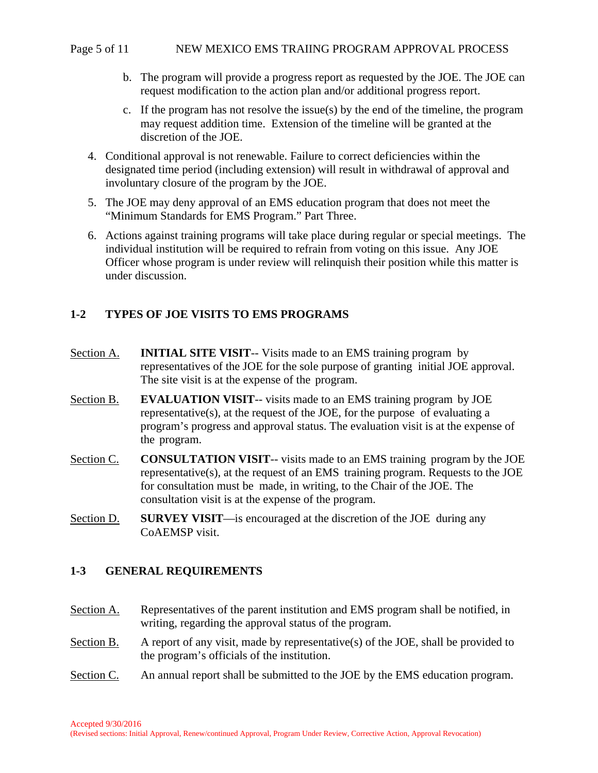### Page 5 of 11 NEW MEXICO EMS TRAIING PROGRAM APPROVAL PROCESS

- b. The program will provide a progress report as requested by the JOE. The JOE can request modification to the action plan and/or additional progress report.
- c. If the program has not resolve the issue(s) by the end of the timeline, the program may request addition time. Extension of the timeline will be granted at the discretion of the JOE.
- 4. Conditional approval is not renewable. Failure to correct deficiencies within the designated time period (including extension) will result in withdrawal of approval and involuntary closure of the program by the JOE.
- 5. The JOE may deny approval of an EMS education program that does not meet the "Minimum Standards for EMS Program." Part Three.
- 6. Actions against training programs will take place during regular or special meetings. The individual institution will be required to refrain from voting on this issue. Any JOE Officer whose program is under review will relinquish their position while this matter is under discussion.

# **1-2 TYPES OF JOE VISITS TO EMS PROGRAMS**

- Section A. **INITIAL SITE VISIT**-- Visits made to an EMS training program by representatives of the JOE for the sole purpose of granting initial JOE approval. The site visit is at the expense of the program.
- Section B. **EVALUATION VISIT**-- visits made to an EMS training program by JOE representative(s), at the request of the JOE, for the purpose of evaluating a program's progress and approval status. The evaluation visit is at the expense of the program.
- Section C. **CONSULTATION VISIT**-- visits made to an EMS training program by the JOE representative(s), at the request of an EMS training program. Requests to the JOE for consultation must be made, in writing, to the Chair of the JOE. The consultation visit is at the expense of the program.
- Section D. **SURVEY VISIT**—is encouraged at the discretion of the JOE during any CoAEMSP visit.

## **1-3 GENERAL REQUIREMENTS**

- Section A. Representatives of the parent institution and EMS program shall be notified, in writing, regarding the approval status of the program.
- Section B. A report of any visit, made by representative(s) of the JOE, shall be provided to the program's officials of the institution.
- Section C. An annual report shall be submitted to the JOE by the EMS education program.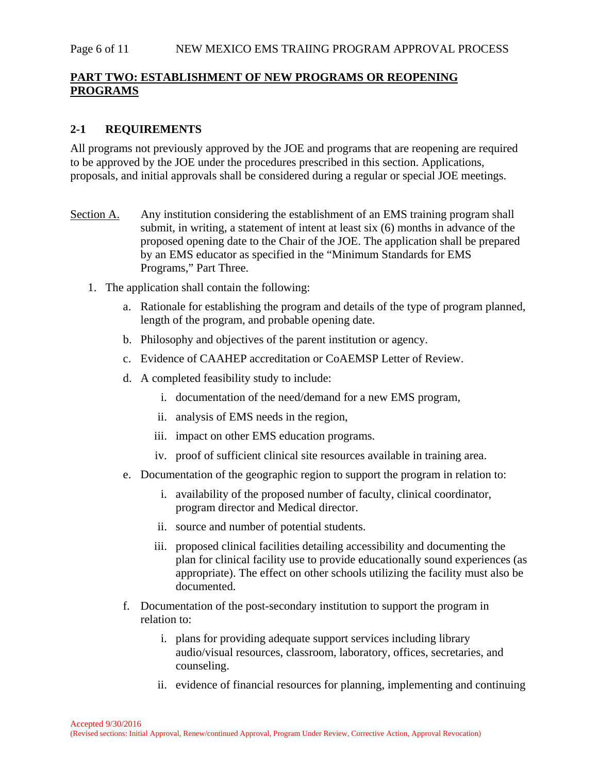### Page 6 of 11 NEW MEXICO EMS TRAIING PROGRAM APPROVAL PROCESS

# **PART TWO: ESTABLISHMENT OF NEW PROGRAMS OR REOPENING PROGRAMS**

# **2-1 REQUIREMENTS**

All programs not previously approved by the JOE and programs that are reopening are required to be approved by the JOE under the procedures prescribed in this section. Applications, proposals, and initial approvals shall be considered during a regular or special JOE meetings.

- Section A. Any institution considering the establishment of an EMS training program shall submit, in writing, a statement of intent at least six (6) months in advance of the proposed opening date to the Chair of the JOE. The application shall be prepared by an EMS educator as specified in the "Minimum Standards for EMS Programs," Part Three.
	- 1. The application shall contain the following:
		- a. Rationale for establishing the program and details of the type of program planned, length of the program, and probable opening date.
		- b. Philosophy and objectives of the parent institution or agency.
		- c. Evidence of CAAHEP accreditation or CoAEMSP Letter of Review.
		- d. A completed feasibility study to include:
			- i. documentation of the need/demand for a new EMS program,
			- ii. analysis of EMS needs in the region,
			- iii. impact on other EMS education programs.
			- iv. proof of sufficient clinical site resources available in training area.
		- e. Documentation of the geographic region to support the program in relation to:
			- i. availability of the proposed number of faculty, clinical coordinator, program director and Medical director.
			- ii. source and number of potential students.
			- iii. proposed clinical facilities detailing accessibility and documenting the plan for clinical facility use to provide educationally sound experiences (as appropriate). The effect on other schools utilizing the facility must also be documented.
		- f. Documentation of the post-secondary institution to support the program in relation to:
			- i. plans for providing adequate support services including library audio/visual resources, classroom, laboratory, offices, secretaries, and counseling.
			- ii. evidence of financial resources for planning, implementing and continuing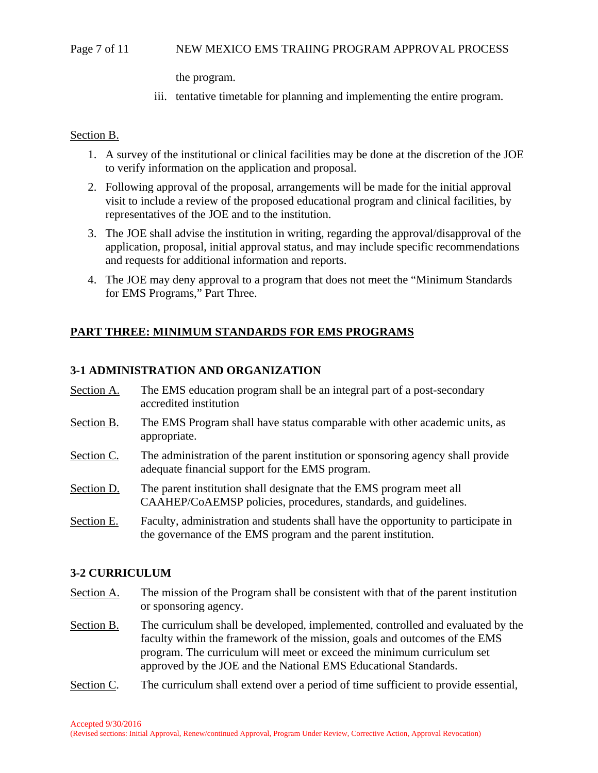### Page 7 of 11 NEW MEXICO EMS TRAIING PROGRAM APPROVAL PROCESS

the program.

iii. tentative timetable for planning and implementing the entire program.

### Section B.

- 1. A survey of the institutional or clinical facilities may be done at the discretion of the JOE to verify information on the application and proposal.
- 2. Following approval of the proposal, arrangements will be made for the initial approval visit to include a review of the proposed educational program and clinical facilities, by representatives of the JOE and to the institution.
- 3. The JOE shall advise the institution in writing, regarding the approval/disapproval of the application, proposal, initial approval status, and may include specific recommendations and requests for additional information and reports.
- 4. The JOE may deny approval to a program that does not meet the "Minimum Standards for EMS Programs," Part Three.

# **PART THREE: MINIMUM STANDARDS FOR EMS PROGRAMS**

## **3-1 ADMINISTRATION AND ORGANIZATION**

- Section A. The EMS education program shall be an integral part of a post-secondary accredited institution
- Section B. The EMS Program shall have status comparable with other academic units, as appropriate.
- Section C. The administration of the parent institution or sponsoring agency shall provide adequate financial support for the EMS program.
- Section D. The parent institution shall designate that the EMS program meet all CAAHEP/CoAEMSP policies, procedures, standards, and guidelines.
- Section E. Faculty, administration and students shall have the opportunity to participate in the governance of the EMS program and the parent institution.

### **3-2 CURRICULUM**

- Section A. The mission of the Program shall be consistent with that of the parent institution or sponsoring agency.
- Section B. The curriculum shall be developed, implemented, controlled and evaluated by the faculty within the framework of the mission, goals and outcomes of the EMS program. The curriculum will meet or exceed the minimum curriculum set approved by the JOE and the National EMS Educational Standards.
- Section C. The curriculum shall extend over a period of time sufficient to provide essential,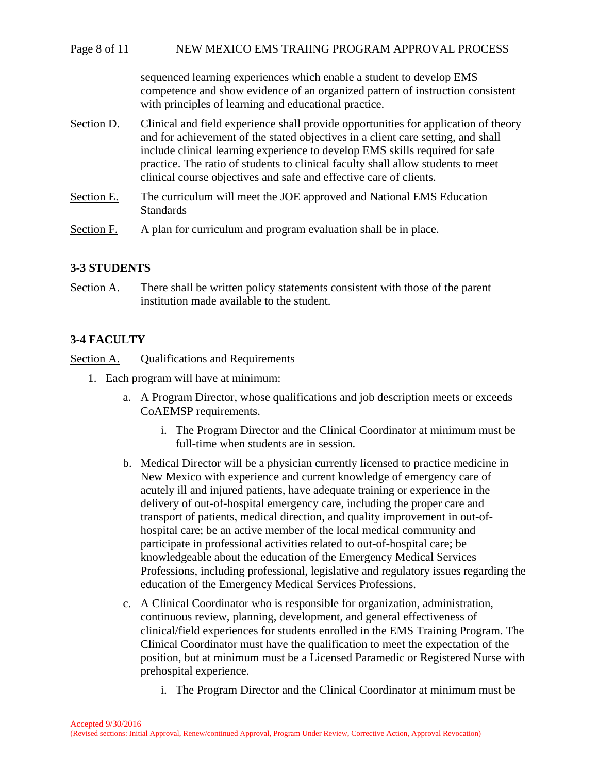### Page 8 of 11 NEW MEXICO EMS TRAIING PROGRAM APPROVAL PROCESS

sequenced learning experiences which enable a student to develop EMS competence and show evidence of an organized pattern of instruction consistent with principles of learning and educational practice.

- Section D. Clinical and field experience shall provide opportunities for application of theory and for achievement of the stated objectives in a client care setting, and shall include clinical learning experience to develop EMS skills required for safe practice. The ratio of students to clinical faculty shall allow students to meet clinical course objectives and safe and effective care of clients.
- Section E. The curriculum will meet the JOE approved and National EMS Education **Standards**
- Section F. A plan for curriculum and program evaluation shall be in place.

## **3-3 STUDENTS**

Section A. There shall be written policy statements consistent with those of the parent institution made available to the student.

## **3-4 FACULTY**

Section A. Qualifications and Requirements

- 1. Each program will have at minimum:
	- a. A Program Director, whose qualifications and job description meets or exceeds CoAEMSP requirements.
		- i. The Program Director and the Clinical Coordinator at minimum must be full-time when students are in session.
	- b. Medical Director will be a physician currently licensed to practice medicine in New Mexico with experience and current knowledge of emergency care of acutely ill and injured patients, have adequate training or experience in the delivery of out-of-hospital emergency care, including the proper care and transport of patients, medical direction, and quality improvement in out-ofhospital care; be an active member of the local medical community and participate in professional activities related to out-of-hospital care; be knowledgeable about the education of the Emergency Medical Services Professions, including professional, legislative and regulatory issues regarding the education of the Emergency Medical Services Professions.
	- c. A Clinical Coordinator who is responsible for organization, administration, continuous review, planning, development, and general effectiveness of clinical/field experiences for students enrolled in the EMS Training Program. The Clinical Coordinator must have the qualification to meet the expectation of the position, but at minimum must be a Licensed Paramedic or Registered Nurse with prehospital experience.
		- i. The Program Director and the Clinical Coordinator at minimum must be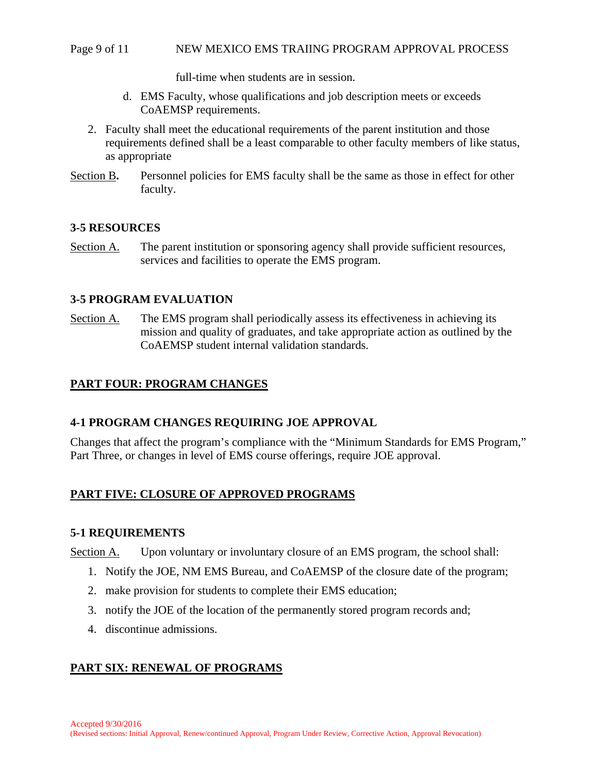#### Page 9 of 11 NEW MEXICO EMS TRAIING PROGRAM APPROVAL PROCESS

full-time when students are in session.

- d. EMS Faculty, whose qualifications and job description meets or exceeds CoAEMSP requirements.
- 2. Faculty shall meet the educational requirements of the parent institution and those requirements defined shall be a least comparable to other faculty members of like status, as appropriate
- Section B**.** Personnel policies for EMS faculty shall be the same as those in effect for other faculty.

## **3-5 RESOURCES**

Section A. The parent institution or sponsoring agency shall provide sufficient resources, services and facilities to operate the EMS program.

## **3-5 PROGRAM EVALUATION**

Section A. The EMS program shall periodically assess its effectiveness in achieving its mission and quality of graduates, and take appropriate action as outlined by the CoAEMSP student internal validation standards.

## **PART FOUR: PROGRAM CHANGES**

### **4-1 PROGRAM CHANGES REQUIRING JOE APPROVAL**

Changes that affect the program's compliance with the "Minimum Standards for EMS Program," Part Three, or changes in level of EMS course offerings, require JOE approval.

## **PART FIVE: CLOSURE OF APPROVED PROGRAMS**

### **5-1 REQUIREMENTS**

Section A. Upon voluntary or involuntary closure of an EMS program, the school shall:

- 1. Notify the JOE, NM EMS Bureau, and CoAEMSP of the closure date of the program;
- 2. make provision for students to complete their EMS education;
- 3. notify the JOE of the location of the permanently stored program records and;
- 4. discontinue admissions.

# **PART SIX: RENEWAL OF PROGRAMS**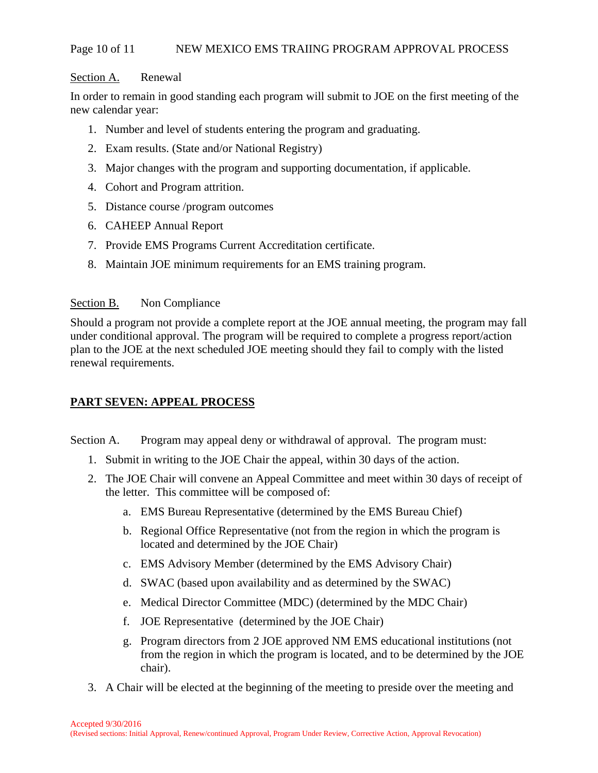### Page 10 of 11 NEW MEXICO EMS TRAIING PROGRAM APPROVAL PROCESS

#### Section A. Renewal

In order to remain in good standing each program will submit to JOE on the first meeting of the new calendar year:

- 1. Number and level of students entering the program and graduating.
- 2. Exam results. (State and/or National Registry)
- 3. Major changes with the program and supporting documentation, if applicable.
- 4. Cohort and Program attrition.
- 5. Distance course /program outcomes
- 6. CAHEEP Annual Report
- 7. Provide EMS Programs Current Accreditation certificate.
- 8. Maintain JOE minimum requirements for an EMS training program.

### Section B. Non Compliance

Should a program not provide a complete report at the JOE annual meeting, the program may fall under conditional approval. The program will be required to complete a progress report/action plan to the JOE at the next scheduled JOE meeting should they fail to comply with the listed renewal requirements.

## **PART SEVEN: APPEAL PROCESS**

Section A. Program may appeal deny or withdrawal of approval. The program must:

- 1. Submit in writing to the JOE Chair the appeal, within 30 days of the action.
- 2. The JOE Chair will convene an Appeal Committee and meet within 30 days of receipt of the letter. This committee will be composed of:
	- a. EMS Bureau Representative (determined by the EMS Bureau Chief)
	- b. Regional Office Representative (not from the region in which the program is located and determined by the JOE Chair)
	- c. EMS Advisory Member (determined by the EMS Advisory Chair)
	- d. SWAC (based upon availability and as determined by the SWAC)
	- e. Medical Director Committee (MDC) (determined by the MDC Chair)
	- f. JOE Representative (determined by the JOE Chair)
	- g. Program directors from 2 JOE approved NM EMS educational institutions (not from the region in which the program is located, and to be determined by the JOE chair).
- 3. A Chair will be elected at the beginning of the meeting to preside over the meeting and